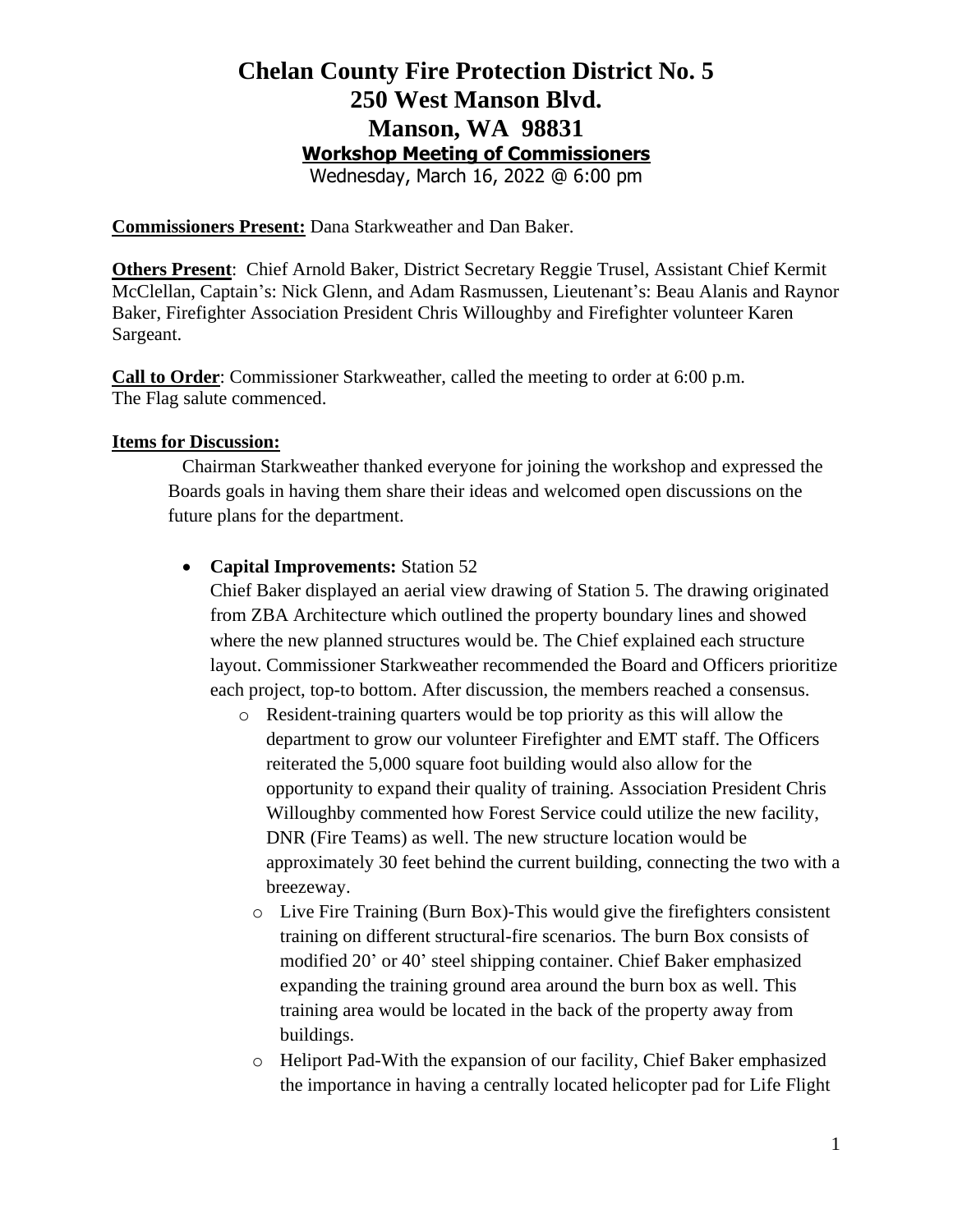## **Chelan County Fire Protection District No. 5 250 West Manson Blvd. Manson, WA 98831 Workshop Meeting of Commissioners**

Wednesday, March 16, 2022 @ 6:00 pm

**Commissioners Present:** Dana Starkweather and Dan Baker.

**Others Present**: Chief Arnold Baker, District Secretary Reggie Trusel, Assistant Chief Kermit McClellan, Captain's: Nick Glenn, and Adam Rasmussen, Lieutenant's: Beau Alanis and Raynor Baker, Firefighter Association President Chris Willoughby and Firefighter volunteer Karen Sargeant.

**Call to Order**: Commissioner Starkweather, called the meeting to order at 6:00 p.m. The Flag salute commenced.

#### **Items for Discussion:**

Chairman Starkweather thanked everyone for joining the workshop and expressed the Boards goals in having them share their ideas and welcomed open discussions on the future plans for the department.

#### • **Capital Improvements:** Station 52

Chief Baker displayed an aerial view drawing of Station 5. The drawing originated from ZBA Architecture which outlined the property boundary lines and showed where the new planned structures would be. The Chief explained each structure layout. Commissioner Starkweather recommended the Board and Officers prioritize each project, top-to bottom. After discussion, the members reached a consensus.

- o Resident-training quarters would be top priority as this will allow the department to grow our volunteer Firefighter and EMT staff. The Officers reiterated the 5,000 square foot building would also allow for the opportunity to expand their quality of training. Association President Chris Willoughby commented how Forest Service could utilize the new facility, DNR (Fire Teams) as well. The new structure location would be approximately 30 feet behind the current building, connecting the two with a breezeway.
	- o Live Fire Training (Burn Box)-This would give the firefighters consistent training on different structural-fire scenarios. The burn Box consists of modified 20' or 40' steel shipping container. Chief Baker emphasized expanding the training ground area around the burn box as well. This training area would be located in the back of the property away from buildings.
	- o Heliport Pad-With the expansion of our facility, Chief Baker emphasized the importance in having a centrally located helicopter pad for Life Flight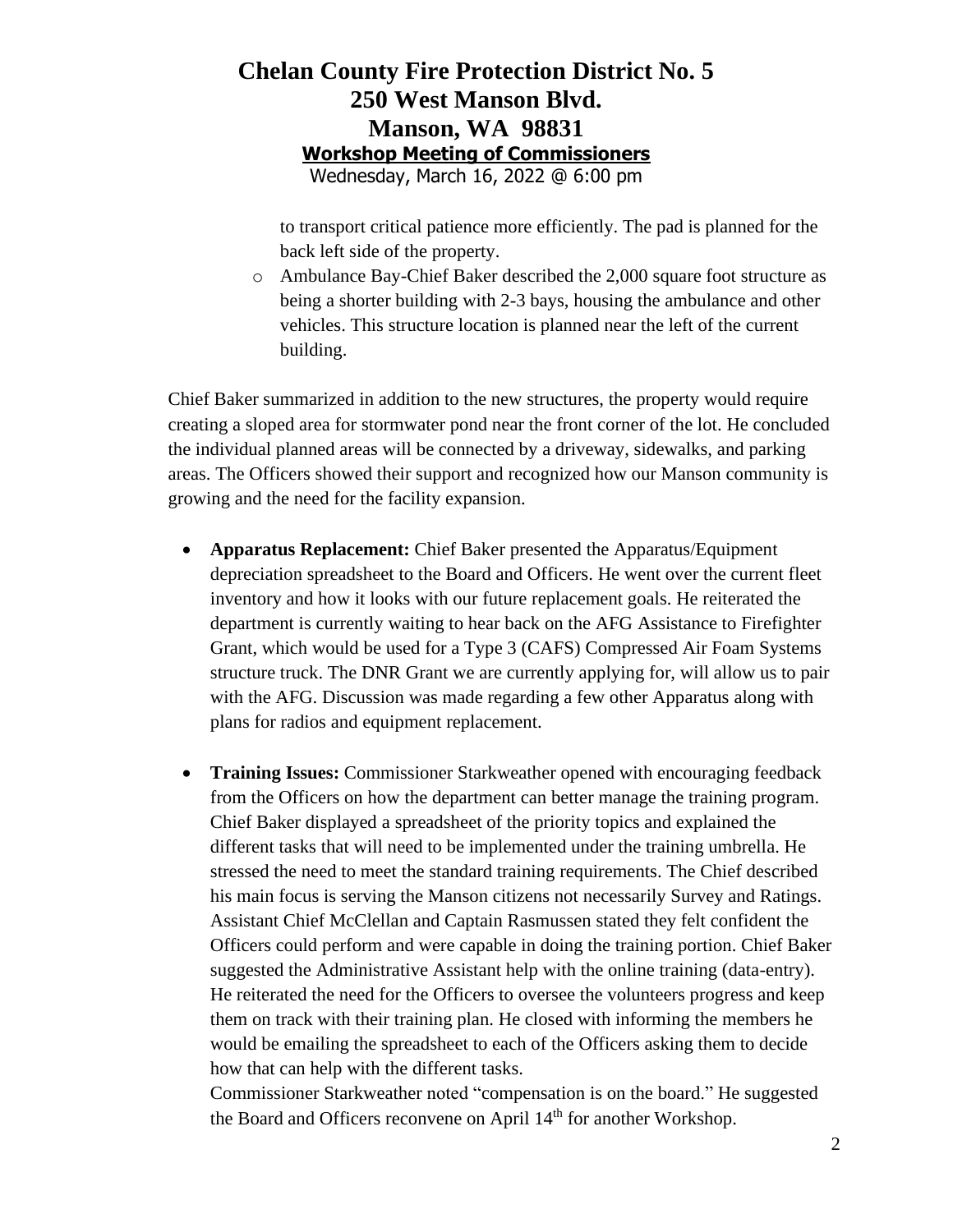### **Chelan County Fire Protection District No. 5 250 West Manson Blvd. Manson, WA 98831 Workshop Meeting of Commissioners**

Wednesday, March 16, 2022 @ 6:00 pm

to transport critical patience more efficiently. The pad is planned for the back left side of the property.

o Ambulance Bay-Chief Baker described the 2,000 square foot structure as being a shorter building with 2-3 bays, housing the ambulance and other vehicles. This structure location is planned near the left of the current building.

Chief Baker summarized in addition to the new structures, the property would require creating a sloped area for stormwater pond near the front corner of the lot. He concluded the individual planned areas will be connected by a driveway, sidewalks, and parking areas. The Officers showed their support and recognized how our Manson community is growing and the need for the facility expansion.

- **Apparatus Replacement:** Chief Baker presented the Apparatus/Equipment depreciation spreadsheet to the Board and Officers. He went over the current fleet inventory and how it looks with our future replacement goals. He reiterated the department is currently waiting to hear back on the AFG Assistance to Firefighter Grant, which would be used for a Type 3 (CAFS) Compressed Air Foam Systems structure truck. The DNR Grant we are currently applying for, will allow us to pair with the AFG. Discussion was made regarding a few other Apparatus along with plans for radios and equipment replacement.
- **Training Issues:** Commissioner Starkweather opened with encouraging feedback from the Officers on how the department can better manage the training program. Chief Baker displayed a spreadsheet of the priority topics and explained the different tasks that will need to be implemented under the training umbrella. He stressed the need to meet the standard training requirements. The Chief described his main focus is serving the Manson citizens not necessarily Survey and Ratings. Assistant Chief McClellan and Captain Rasmussen stated they felt confident the Officers could perform and were capable in doing the training portion. Chief Baker suggested the Administrative Assistant help with the online training (data-entry). He reiterated the need for the Officers to oversee the volunteers progress and keep them on track with their training plan. He closed with informing the members he would be emailing the spreadsheet to each of the Officers asking them to decide how that can help with the different tasks.

Commissioner Starkweather noted "compensation is on the board." He suggested the Board and Officers reconvene on April 14<sup>th</sup> for another Workshop.